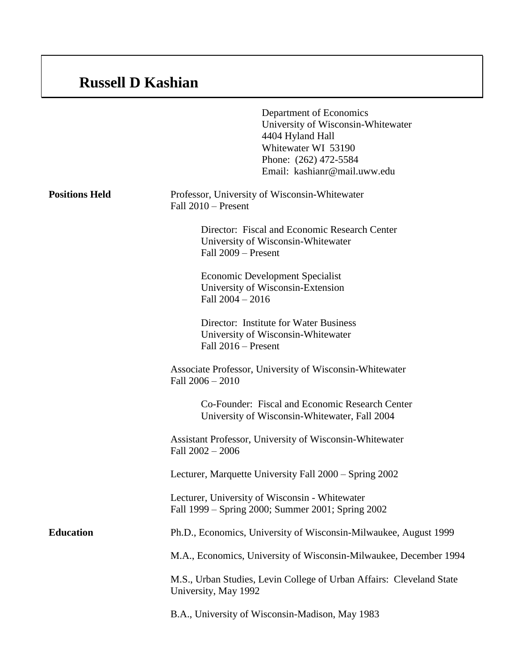## **Russell D Kashian**

|                       | Department of Economics<br>University of Wisconsin-Whitewater<br>4404 Hyland Hall<br>Whitewater WI 53190<br>Phone: (262) 472-5584<br>Email: kashianr@mail.uww.edu |
|-----------------------|-------------------------------------------------------------------------------------------------------------------------------------------------------------------|
| <b>Positions Held</b> | Professor, University of Wisconsin-Whitewater<br>Fall $2010$ – Present                                                                                            |
|                       | Director: Fiscal and Economic Research Center<br>University of Wisconsin-Whitewater<br>Fall 2009 – Present                                                        |
|                       | <b>Economic Development Specialist</b><br>University of Wisconsin-Extension<br>Fall $2004 - 2016$                                                                 |
|                       | Director: Institute for Water Business<br>University of Wisconsin-Whitewater<br>Fall $2016$ – Present                                                             |
|                       | Associate Professor, University of Wisconsin-Whitewater<br>Fall $2006 - 2010$                                                                                     |
|                       | Co-Founder: Fiscal and Economic Research Center<br>University of Wisconsin-Whitewater, Fall 2004                                                                  |
|                       | Assistant Professor, University of Wisconsin-Whitewater<br>Fall $2002 - 2006$                                                                                     |
|                       | Lecturer, Marquette University Fall 2000 – Spring 2002                                                                                                            |
|                       | Lecturer, University of Wisconsin - Whitewater<br>Fall 1999 – Spring 2000; Summer 2001; Spring 2002                                                               |
| <b>Education</b>      | Ph.D., Economics, University of Wisconsin-Milwaukee, August 1999                                                                                                  |
|                       | M.A., Economics, University of Wisconsin-Milwaukee, December 1994                                                                                                 |
|                       | M.S., Urban Studies, Levin College of Urban Affairs: Cleveland State<br>University, May 1992                                                                      |
|                       | B.A., University of Wisconsin-Madison, May 1983                                                                                                                   |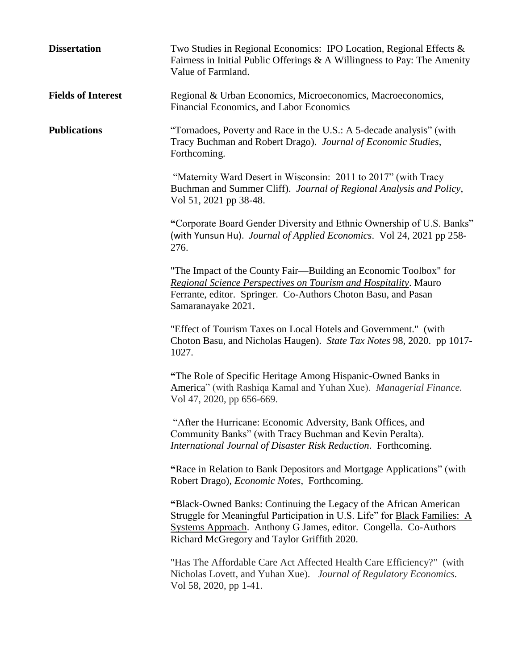| <b>Dissertation</b>       | Two Studies in Regional Economics: IPO Location, Regional Effects &<br>Fairness in Initial Public Offerings $\& A$ Willingness to Pay: The Amenity<br>Value of Farmland.                                                                                         |
|---------------------------|------------------------------------------------------------------------------------------------------------------------------------------------------------------------------------------------------------------------------------------------------------------|
| <b>Fields of Interest</b> | Regional & Urban Economics, Microeconomics, Macroeconomics,<br>Financial Economics, and Labor Economics                                                                                                                                                          |
| <b>Publications</b>       | "Tornadoes, Poverty and Race in the U.S.: A 5-decade analysis" (with<br>Tracy Buchman and Robert Drago). Journal of Economic Studies,<br>Forthcoming.                                                                                                            |
|                           | "Maternity Ward Desert in Wisconsin: 2011 to 2017" (with Tracy<br>Buchman and Summer Cliff). Journal of Regional Analysis and Policy,<br>Vol 51, 2021 pp 38-48.                                                                                                  |
|                           | "Corporate Board Gender Diversity and Ethnic Ownership of U.S. Banks"<br>(with Yunsun Hu). Journal of Applied Economics. Vol 24, 2021 pp 258-<br>276.                                                                                                            |
|                           | "The Impact of the County Fair-Building an Economic Toolbox" for<br>Regional Science Perspectives on Tourism and Hospitality. Mauro<br>Ferrante, editor. Springer. Co-Authors Choton Basu, and Pasan<br>Samaranayake 2021.                                       |
|                           | "Effect of Tourism Taxes on Local Hotels and Government." (with<br>Choton Basu, and Nicholas Haugen). State Tax Notes 98, 2020. pp 1017-<br>1027.                                                                                                                |
|                           | "The Role of Specific Heritage Among Hispanic-Owned Banks in<br>America" (with Rashiqa Kamal and Yuhan Xue). Managerial Finance.<br>Vol 47, 2020, pp 656-669.                                                                                                    |
|                           | "After the Hurricane: Economic Adversity, Bank Offices, and<br>Community Banks" (with Tracy Buchman and Kevin Peralta).<br>International Journal of Disaster Risk Reduction. Forthcoming.                                                                        |
|                           | "Race in Relation to Bank Depositors and Mortgage Applications" (with<br>Robert Drago), Economic Notes, Forthcoming.                                                                                                                                             |
|                           | "Black-Owned Banks: Continuing the Legacy of the African American<br>Struggle for Meaningful Participation in U.S. Life" for Black Families: A<br>Systems Approach. Anthony G James, editor. Congella. Co-Authors<br>Richard McGregory and Taylor Griffith 2020. |
|                           | "Has The Affordable Care Act Affected Health Care Efficiency?" (with<br>Nicholas Lovett, and Yuhan Xue). Journal of Regulatory Economics.<br>Vol 58, 2020, pp 1-41.                                                                                              |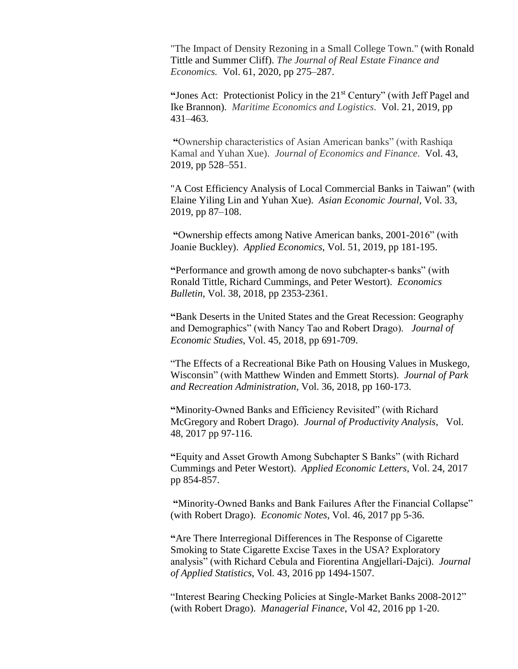"The Impact of Density Rezoning in a Small College Town." (with Ronald Tittle and Summer Cliff). *The Journal of Real Estate Finance and Economics.* Vol. 61, 2020, pp 275–287.

**"**Jones Act: Protectionist Policy in the 21st Century" (with Jeff Pagel and Ike Brannon). *Maritime Economics and Logistics*. Vol. 21, 2019, pp 431–463.

**"**Ownership characteristics of Asian American banks" (with Rashiqa Kamal and Yuhan Xue). *Journal of Economics and Finance*. Vol. 43, 2019, pp 528–551.

"A Cost Efficiency Analysis of Local Commercial Banks in Taiwan" (with Elaine Yiling Lin and Yuhan Xue). *Asian Economic Journal*, Vol. 33, 2019, pp 87–108.

**"**Ownership effects among Native American banks, 2001-2016" (with Joanie Buckley). *Applied Economics*, Vol. 51, 2019, pp 181-195.

**"**Performance and growth among de novo subchapter-s banks" (with Ronald Tittle, Richard Cummings, and Peter Westort). *Economics Bulletin*, Vol. 38, 2018, pp 2353-2361.

**"**Bank Deserts in the United States and the Great Recession: Geography and Demographics" (with Nancy Tao and Robert Drago). *Journal of Economic Studies*, Vol. 45, 2018, pp 691-709.

"The Effects of a Recreational Bike Path on Housing Values in Muskego, Wisconsin" (with Matthew Winden and Emmett Storts). *Journal of Park and Recreation Administration,* Vol. 36, 2018, pp 160-173.

**"**Minority-Owned Banks and Efficiency Revisited" (with Richard McGregory and Robert Drago). *Journal of Productivity Analysis*, Vol. 48, 2017 pp 97-116.

**"**Equity and Asset Growth Among Subchapter S Banks" (with Richard Cummings and Peter Westort). *Applied Economic Letters*, Vol. 24, 2017 pp 854-857.

**"**Minority-Owned Banks and Bank Failures After the Financial Collapse" (with Robert Drago). *Economic Notes*, Vol. 46, 2017 pp 5-36.

**"**Are There Interregional Differences in The Response of Cigarette Smoking to State Cigarette Excise Taxes in the USA? Exploratory analysis" (with Richard Cebula and Fiorentina Angjellari-Dajci). *Journal of Applied Statistics*, Vol. 43, 2016 pp 1494-1507.

"Interest Bearing Checking Policies at Single-Market Banks 2008-2012" (with Robert Drago). *Managerial Finance*, Vol 42, 2016 pp 1-20.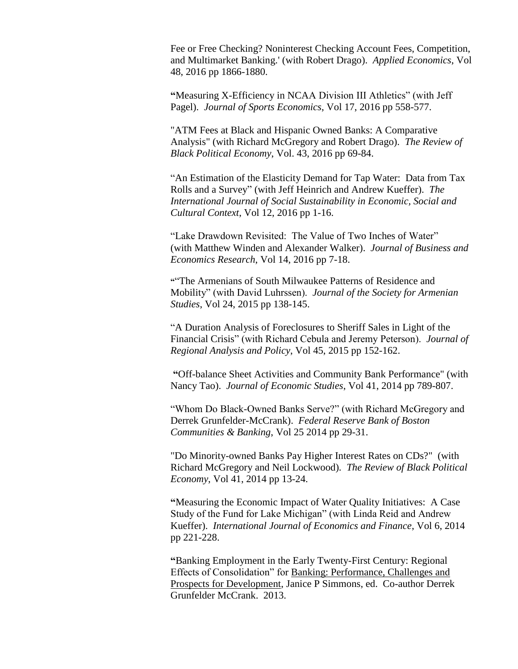Fee or Free Checking? Noninterest Checking Account Fees, Competition, and Multimarket Banking.' (with Robert Drago). *Applied Economics*, Vol 48, 2016 pp 1866-1880.

**"**Measuring X-Efficiency in NCAA Division III Athletics" (with Jeff Pagel). *Journal of Sports Economics*, Vol 17, 2016 pp 558-577.

"ATM Fees at Black and Hispanic Owned Banks: A Comparative Analysis" (with Richard McGregory and Robert Drago). *The Review of Black Political Economy*, Vol. 43, 2016 pp 69-84.

"An Estimation of the Elasticity Demand for Tap Water: Data from Tax Rolls and a Survey" (with Jeff Heinrich and Andrew Kueffer). *The International Journal of Social Sustainability in Economic, Social and Cultural Context*, Vol 12, 2016 pp 1-16.

"Lake Drawdown Revisited: The Value of Two Inches of Water" (with Matthew Winden and Alexander Walker). *Journal of Business and Economics Research*, Vol 14, 2016 pp 7-18.

**"**"The Armenians of South Milwaukee Patterns of Residence and Mobility" (with David Luhrssen). *Journal of the Society for Armenian Studies*, Vol 24, 2015 pp 138-145.

"A Duration Analysis of Foreclosures to Sheriff Sales in Light of the Financial Crisis" (with Richard Cebula and Jeremy Peterson). *Journal of Regional Analysis and Policy*, Vol 45, 2015 pp 152-162.

**"**Off-balance Sheet Activities and Community Bank Performance" (with Nancy Tao). *Journal of Economic Studies*, Vol 41, 2014 pp 789-807.

"Whom Do Black-Owned Banks Serve?" (with Richard McGregory and Derrek Grunfelder-McCrank). *Federal Reserve Bank of Boston Communities & Banking*, Vol 25 2014 pp 29-31.

"Do Minority-owned Banks Pay Higher Interest Rates on CDs?" (with Richard McGregory and Neil Lockwood). *The Review of Black Political Economy*, Vol 41, 2014 pp 13-24.

**"**Measuring the Economic Impact of Water Quality Initiatives: A Case Study of the Fund for Lake Michigan" (with Linda Reid and Andrew Kueffer). *International Journal of Economics and Finance*, Vol 6, 2014 pp 221-228.

**"**Banking Employment in the Early Twenty-First Century: Regional Effects of Consolidation" for Banking: Performance, Challenges and Prospects for Development, Janice P Simmons, ed. Co-author Derrek Grunfelder McCrank. 2013.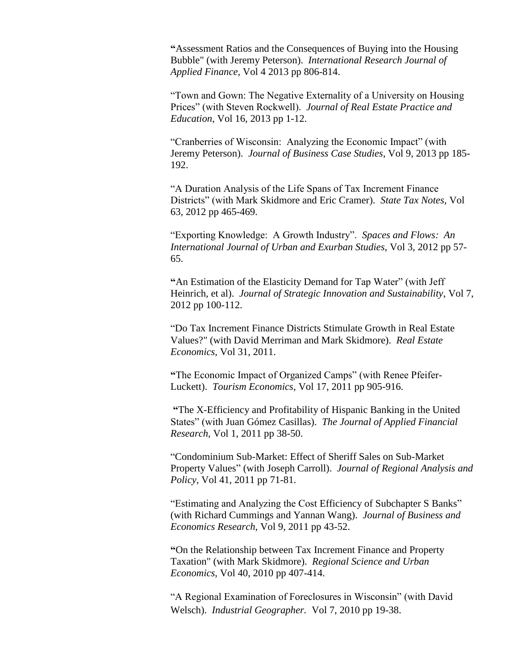**"**Assessment Ratios and the Consequences of Buying into the Housing Bubble" (with Jeremy Peterson). *International Research Journal of Applied Finance,* Vol 4 2013 pp 806-814.

"Town and Gown: The Negative Externality of a University on Housing Prices" (with Steven Rockwell). *Journal of Real Estate Practice and Education*, Vol 16, 2013 pp 1-12.

"Cranberries of Wisconsin: Analyzing the Economic Impact" (with Jeremy Peterson). *Journal of Business Case Studies*, Vol 9, 2013 pp 185- 192.

"A Duration Analysis of the Life Spans of Tax Increment Finance Districts" (with Mark Skidmore and Eric Cramer). *State Tax Notes*, Vol 63, 2012 pp 465-469.

"Exporting Knowledge: A Growth Industry". *Spaces and Flows: An International Journal of Urban and Exurban Studies*, Vol 3, 2012 pp 57- 65.

**"**An Estimation of the Elasticity Demand for Tap Water" (with Jeff Heinrich, et al). *Journal of Strategic Innovation and Sustainability*, Vol 7, 2012 pp 100-112.

"Do Tax Increment Finance Districts Stimulate Growth in Real Estate Values?" (with David Merriman and Mark Skidmore). *Real Estate Economics,* Vol 31, 2011.

**"**The Economic Impact of Organized Camps" (with Renee Pfeifer-Luckett). *Tourism Economics*, Vol 17, 2011 pp 905-916.

**"**The X-Efficiency and Profitability of Hispanic Banking in the United States" (with Juan Gómez Casillas). *The Journal of Applied Financial Research*, Vol 1, 2011 pp 38-50.

"Condominium Sub-Market: Effect of Sheriff Sales on Sub-Market Property Values" (with Joseph Carroll). *Journal of Regional Analysis and Policy,* Vol 41, 2011 pp 71-81.

"Estimating and Analyzing the Cost Efficiency of Subchapter S Banks" (with Richard Cummings and Yannan Wang). *Journal of Business and Economics Research*, Vol 9, 2011 pp 43-52.

**"**On the Relationship between Tax Increment Finance and Property Taxation" (with Mark Skidmore). *Regional Science and Urban Economics*, Vol 40, 2010 pp 407-414.

"A Regional Examination of Foreclosures in Wisconsin" (with David Welsch). *Industrial Geographer.* Vol 7, 2010 pp 19-38.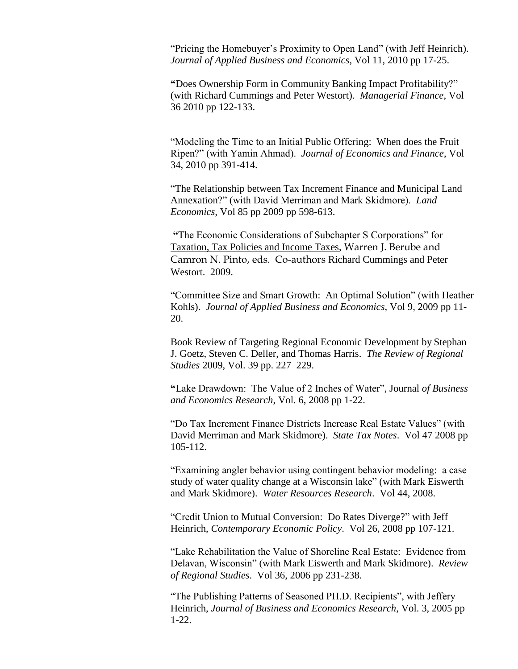"Pricing the Homebuyer's Proximity to Open Land" (with Jeff Heinrich). *Journal of Applied Business and Economics,* Vol 11, 2010 pp 17-25.

**"**Does Ownership Form in Community Banking Impact Profitability?" (with Richard Cummings and Peter Westort). *Managerial Finance*, Vol 36 2010 pp 122-133.

"Modeling the Time to an Initial Public Offering: When does the Fruit Ripen?" (with Yamin Ahmad). *Journal of Economics and Finance*, Vol 34, 2010 pp 391-414.

"The Relationship between Tax Increment Finance and Municipal Land Annexation?" (with David Merriman and Mark Skidmore). *Land Economics,* Vol 85 pp 2009 pp 598-613.

**"**The Economic Considerations of Subchapter S Corporations" for Taxation, Tax Policies and Income Taxes, Warren J. Berube and Camron N. Pinto, eds. Co-authors Richard Cummings and Peter Westort. 2009.

"Committee Size and Smart Growth: An Optimal Solution" (with Heather Kohls). *Journal of Applied Business and Economics,* Vol 9, 2009 pp 11- 20.

Book Review of Targeting Regional Economic Development by Stephan J. Goetz, Steven C. Deller, and Thomas Harris. *The Review of Regional Studies* 2009, Vol. 39 pp. 227–229.

**"**Lake Drawdown: The Value of 2 Inches of Water", Journal *of Business and Economics Research*, Vol. 6, 2008 pp 1-22.

"Do Tax Increment Finance Districts Increase Real Estate Values" (with David Merriman and Mark Skidmore). *State Tax Notes*. Vol 47 2008 pp 105-112.

"Examining angler behavior using contingent behavior modeling: a case study of water quality change at a Wisconsin lake" (with Mark Eiswerth and Mark Skidmore). *Water Resources Research*. Vol 44, 2008.

"Credit Union to Mutual Conversion: Do Rates Diverge?" with Jeff Heinrich, *Contemporary Economic Policy*. Vol 26, 2008 pp 107-121.

"Lake Rehabilitation the Value of Shoreline Real Estate: Evidence from Delavan, Wisconsin" (with Mark Eiswerth and Mark Skidmore). *Review of Regional Studies*. Vol 36, 2006 pp 231-238.

"The Publishing Patterns of Seasoned PH.D. Recipients", with Jeffery Heinrich, *Journal of Business and Economics Research*, Vol. 3, 2005 pp 1-22.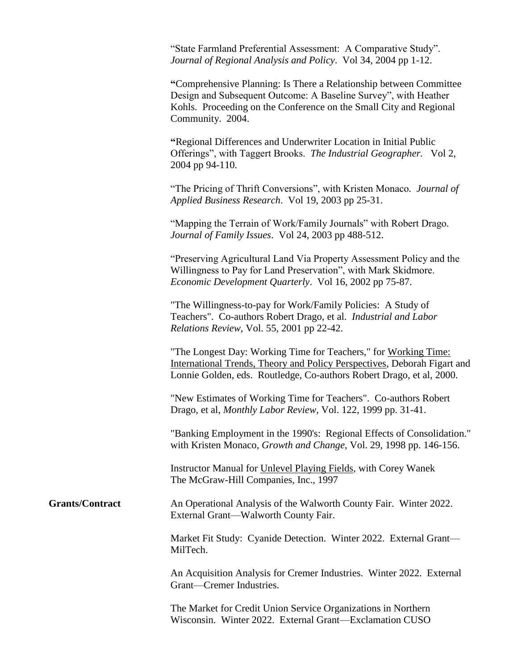"State Farmland Preferential Assessment: A Comparative Study". *Journal of Regional Analysis and Policy*. Vol 34, 2004 pp 1-12.

**"**Comprehensive Planning: Is There a Relationship between Committee Design and Subsequent Outcome: A Baseline Survey", with Heather Kohls. Proceeding on the Conference on the Small City and Regional Community. 2004.

**"**Regional Differences and Underwriter Location in Initial Public Offerings", with Taggert Brooks. *The Industrial Geographer.* Vol 2, 2004 pp 94-110*.*

"The Pricing of Thrift Conversions", with Kristen Monaco*. Journal of Applied Business Research*. Vol 19, 2003 pp 25-31.

"Mapping the Terrain of Work/Family Journals" with Robert Drago*. Journal of Family Issues*. Vol 24, 2003 pp 488-512.

"Preserving Agricultural Land Via Property Assessment Policy and the Willingness to Pay for Land Preservation", with Mark Skidmore. *Economic Development Quarterly*. Vol 16, 2002 pp 75-87.

"The Willingness-to-pay for Work/Family Policies: A Study of Teachers". Co-authors Robert Drago, et al. *Industrial and Labor Relations Review,* Vol. 55, 2001 pp 22-42.

"The Longest Day: Working Time for Teachers," for Working Time: International Trends, Theory and Policy Perspectives, Deborah Figart and Lonnie Golden, eds. Routledge, Co-authors Robert Drago, et al, 2000.

"New Estimates of Working Time for Teachers". Co-authors Robert Drago, et al, *Monthly Labor Review*, Vol. 122, 1999 pp. 31-41.

"Banking Employment in the 1990's: Regional Effects of Consolidation." with Kristen Monaco, *Growth and Change*, Vol. 29, 1998 pp. 146-156.

Instructor Manual for Unlevel Playing Fields, with Corey Wanek The McGraw-Hill Companies, Inc., 1997

## **Grants/Contract** An Operational Analysis of the Walworth County Fair. Winter 2022. External Grant—Walworth County Fair.

Market Fit Study: Cyanide Detection. Winter 2022. External Grant— MilTech.

An Acquisition Analysis for Cremer Industries. Winter 2022. External Grant—Cremer Industries.

The Market for Credit Union Service Organizations in Northern Wisconsin. Winter 2022. External Grant—Exclamation CUSO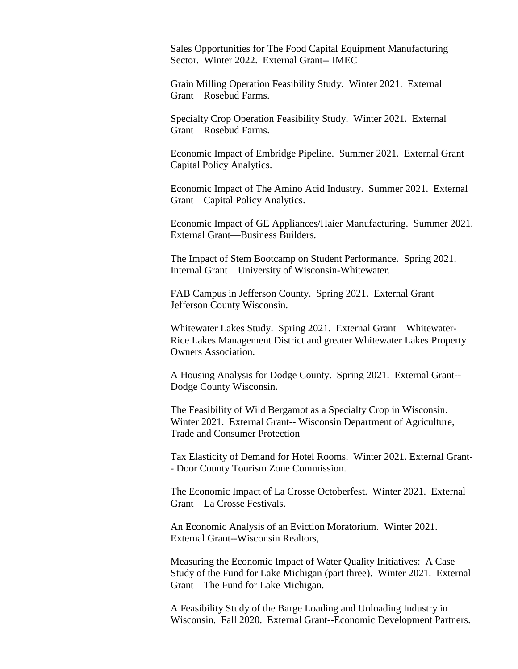Sales Opportunities for The Food Capital Equipment Manufacturing Sector. Winter 2022. External Grant-- IMEC

Grain Milling Operation Feasibility Study. Winter 2021. External Grant—Rosebud Farms.

Specialty Crop Operation Feasibility Study. Winter 2021. External Grant—Rosebud Farms.

Economic Impact of Embridge Pipeline. Summer 2021. External Grant— Capital Policy Analytics.

Economic Impact of The Amino Acid Industry. Summer 2021. External Grant—Capital Policy Analytics.

Economic Impact of GE Appliances/Haier Manufacturing. Summer 2021. External Grant—Business Builders.

The Impact of Stem Bootcamp on Student Performance. Spring 2021. Internal Grant—University of Wisconsin-Whitewater.

FAB Campus in Jefferson County. Spring 2021. External Grant— Jefferson County Wisconsin.

Whitewater Lakes Study. Spring 2021. External Grant—Whitewater-Rice Lakes Management District and greater Whitewater Lakes Property Owners Association.

A Housing Analysis for Dodge County. Spring 2021. External Grant-- Dodge County Wisconsin.

The Feasibility of Wild Bergamot as a Specialty Crop in Wisconsin. Winter 2021. External Grant-- Wisconsin Department of Agriculture, Trade and Consumer Protection

Tax Elasticity of Demand for Hotel Rooms. Winter 2021. External Grant- - Door County Tourism Zone Commission.

The Economic Impact of La Crosse Octoberfest. Winter 2021. External Grant—La Crosse Festivals.

An Economic Analysis of an Eviction Moratorium. Winter 2021. External Grant--Wisconsin Realtors,

Measuring the Economic Impact of Water Quality Initiatives: A Case Study of the Fund for Lake Michigan (part three). Winter 2021. External Grant—The Fund for Lake Michigan.

A Feasibility Study of the Barge Loading and Unloading Industry in Wisconsin. Fall 2020. External Grant--Economic Development Partners.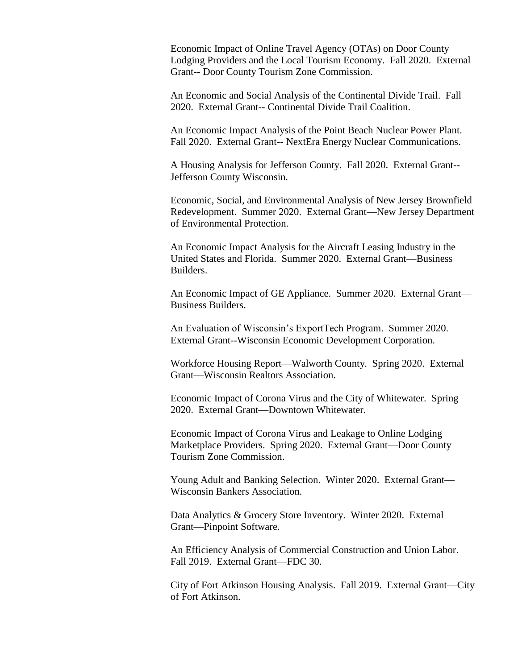Economic Impact of Online Travel Agency (OTAs) on Door County Lodging Providers and the Local Tourism Economy. Fall 2020. External Grant-- Door County Tourism Zone Commission.

An Economic and Social Analysis of the Continental Divide Trail. Fall 2020. External Grant-- Continental Divide Trail Coalition.

An Economic Impact Analysis of the Point Beach Nuclear Power Plant. Fall 2020. External Grant-- NextEra Energy Nuclear Communications.

A Housing Analysis for Jefferson County. Fall 2020. External Grant-- Jefferson County Wisconsin.

Economic, Social, and Environmental Analysis of New Jersey Brownfield Redevelopment. Summer 2020. External Grant—New Jersey Department of Environmental Protection.

An Economic Impact Analysis for the Aircraft Leasing Industry in the United States and Florida. Summer 2020. External Grant—Business Builders.

An Economic Impact of GE Appliance. Summer 2020. External Grant— Business Builders.

An Evaluation of Wisconsin's ExportTech Program. Summer 2020. External Grant--Wisconsin Economic Development Corporation.

Workforce Housing Report—Walworth County. Spring 2020. External Grant—Wisconsin Realtors Association.

Economic Impact of Corona Virus and the City of Whitewater. Spring 2020. External Grant—Downtown Whitewater.

Economic Impact of Corona Virus and Leakage to Online Lodging Marketplace Providers. Spring 2020. External Grant—Door County Tourism Zone Commission.

Young Adult and Banking Selection. Winter 2020. External Grant— Wisconsin Bankers Association.

Data Analytics & Grocery Store Inventory. Winter 2020. External Grant—Pinpoint Software.

An Efficiency Analysis of Commercial Construction and Union Labor. Fall 2019. External Grant—FDC 30.

City of Fort Atkinson Housing Analysis. Fall 2019. External Grant—City of Fort Atkinson.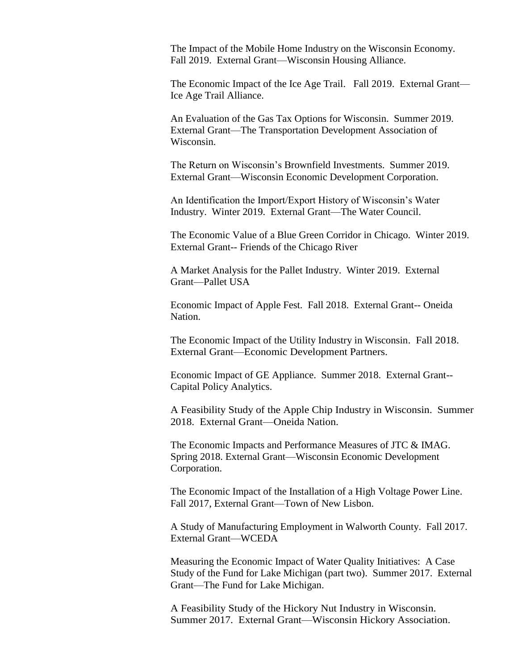The Impact of the Mobile Home Industry on the Wisconsin Economy. Fall 2019. External Grant—Wisconsin Housing Alliance.

The Economic Impact of the Ice Age Trail. Fall 2019. External Grant— Ice Age Trail Alliance.

An Evaluation of the Gas Tax Options for Wisconsin. Summer 2019. External Grant—The Transportation Development Association of Wisconsin.

The Return on Wisconsin's Brownfield Investments. Summer 2019. External Grant—Wisconsin Economic Development Corporation.

An Identification the Import/Export History of Wisconsin's Water Industry. Winter 2019. External Grant—The Water Council.

The Economic Value of a Blue Green Corridor in Chicago. Winter 2019. External Grant-- Friends of the Chicago River

A Market Analysis for the Pallet Industry. Winter 2019. External Grant—Pallet USA

Economic Impact of Apple Fest. Fall 2018. External Grant-- Oneida Nation.

The Economic Impact of the Utility Industry in Wisconsin. Fall 2018. External Grant—Economic Development Partners.

Economic Impact of GE Appliance. Summer 2018. External Grant-- Capital Policy Analytics.

A Feasibility Study of the Apple Chip Industry in Wisconsin. Summer 2018. External Grant—Oneida Nation.

The Economic Impacts and Performance Measures of JTC & IMAG. Spring 2018. External Grant—Wisconsin Economic Development Corporation.

The Economic Impact of the Installation of a High Voltage Power Line. Fall 2017, External Grant—Town of New Lisbon.

A Study of Manufacturing Employment in Walworth County. Fall 2017. External Grant—WCEDA

Measuring the Economic Impact of Water Quality Initiatives: A Case Study of the Fund for Lake Michigan (part two). Summer 2017. External Grant—The Fund for Lake Michigan.

A Feasibility Study of the Hickory Nut Industry in Wisconsin. Summer 2017. External Grant—Wisconsin Hickory Association.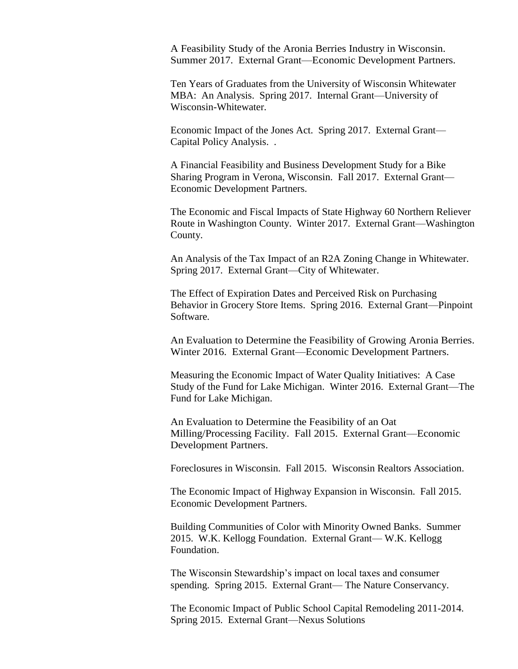A Feasibility Study of the Aronia Berries Industry in Wisconsin. Summer 2017. External Grant—Economic Development Partners.

Ten Years of Graduates from the University of Wisconsin Whitewater MBA: An Analysis. Spring 2017. Internal Grant—University of Wisconsin-Whitewater.

Economic Impact of the Jones Act. Spring 2017. External Grant— Capital Policy Analysis. .

A Financial Feasibility and Business Development Study for a Bike Sharing Program in Verona, Wisconsin. Fall 2017. External Grant— Economic Development Partners.

The Economic and Fiscal Impacts of State Highway 60 Northern Reliever Route in Washington County. Winter 2017. External Grant—Washington County.

An Analysis of the Tax Impact of an R2A Zoning Change in Whitewater. Spring 2017. External Grant—City of Whitewater.

The Effect of Expiration Dates and Perceived Risk on Purchasing Behavior in Grocery Store Items. Spring 2016. External Grant—Pinpoint Software.

An Evaluation to Determine the Feasibility of Growing Aronia Berries. Winter 2016. External Grant—Economic Development Partners.

Measuring the Economic Impact of Water Quality Initiatives: A Case Study of the Fund for Lake Michigan. Winter 2016. External Grant—The Fund for Lake Michigan.

An Evaluation to Determine the Feasibility of an Oat Milling/Processing Facility. Fall 2015. External Grant—Economic Development Partners.

Foreclosures in Wisconsin. Fall 2015. Wisconsin Realtors Association.

The Economic Impact of Highway Expansion in Wisconsin. Fall 2015. Economic Development Partners.

Building Communities of Color with Minority Owned Banks. Summer 2015. W.K. Kellogg Foundation. External Grant— W.K. Kellogg Foundation.

The Wisconsin Stewardship's impact on local taxes and consumer spending. Spring 2015. External Grant— The Nature Conservancy.

The Economic Impact of Public School Capital Remodeling 2011-2014. Spring 2015. External Grant—Nexus Solutions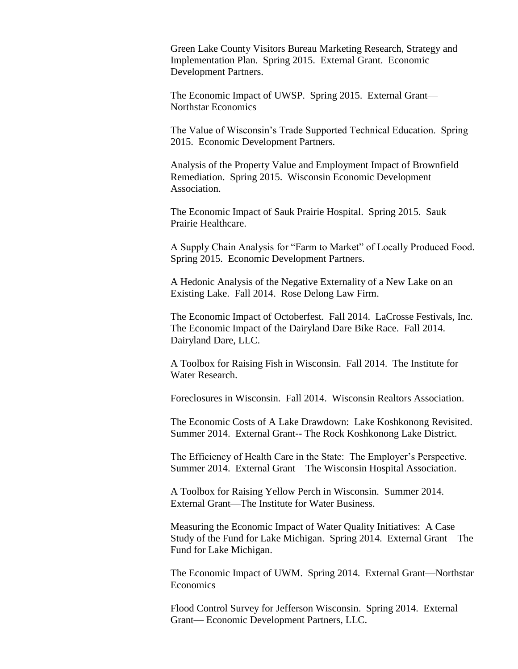Green Lake County Visitors Bureau Marketing Research, Strategy and Implementation Plan. Spring 2015. External Grant. Economic Development Partners.

The Economic Impact of UWSP. Spring 2015. External Grant— Northstar Economics

The Value of Wisconsin's Trade Supported Technical Education. Spring 2015. Economic Development Partners.

Analysis of the Property Value and Employment Impact of Brownfield Remediation. Spring 2015. Wisconsin Economic Development Association.

The Economic Impact of Sauk Prairie Hospital. Spring 2015. Sauk Prairie Healthcare.

A Supply Chain Analysis for "Farm to Market" of Locally Produced Food. Spring 2015. Economic Development Partners.

A Hedonic Analysis of the Negative Externality of a New Lake on an Existing Lake. Fall 2014. Rose Delong Law Firm.

The Economic Impact of Octoberfest. Fall 2014. LaCrosse Festivals, Inc. The Economic Impact of the Dairyland Dare Bike Race. Fall 2014. Dairyland Dare, LLC.

A Toolbox for Raising Fish in Wisconsin. Fall 2014. The Institute for Water Research.

Foreclosures in Wisconsin. Fall 2014. Wisconsin Realtors Association.

The Economic Costs of A Lake Drawdown: Lake Koshkonong Revisited. Summer 2014. External Grant-- The Rock Koshkonong Lake District.

The Efficiency of Health Care in the State: The Employer's Perspective. Summer 2014. External Grant—The Wisconsin Hospital Association.

A Toolbox for Raising Yellow Perch in Wisconsin. Summer 2014. External Grant—The Institute for Water Business.

Measuring the Economic Impact of Water Quality Initiatives: A Case Study of the Fund for Lake Michigan. Spring 2014. External Grant—The Fund for Lake Michigan.

The Economic Impact of UWM. Spring 2014. External Grant—Northstar **Economics** 

Flood Control Survey for Jefferson Wisconsin. Spring 2014. External Grant— Economic Development Partners, LLC.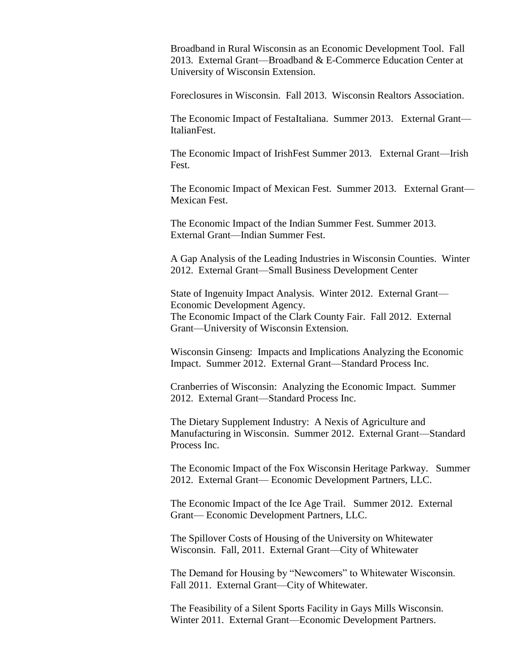Broadband in Rural Wisconsin as an Economic Development Tool. Fall 2013. External Grant—Broadband & E-Commerce Education Center at [University of Wisconsin Extension.](http://www.linkedin.com/company/university-of-wisconsin-extension?trk=ppro_cprof)

Foreclosures in Wisconsin. Fall 2013. Wisconsin Realtors Association.

The Economic Impact of FestaItaliana. Summer 2013. External Grant— ItalianFest.

The Economic Impact of IrishFest Summer 2013. External Grant—Irish Fest.

The Economic Impact of Mexican Fest. Summer 2013. External Grant— Mexican Fest.

The Economic Impact of the Indian Summer Fest. Summer 2013. External Grant—Indian Summer Fest.

A Gap Analysis of the Leading Industries in Wisconsin Counties. Winter 2012. External Grant—Small Business Development Center

State of Ingenuity Impact Analysis. Winter 2012. External Grant— Economic Development Agency. The Economic Impact of the Clark County Fair. Fall 2012. External Grant—University of Wisconsin Extension.

Wisconsin Ginseng: Impacts and Implications Analyzing the Economic Impact. Summer 2012. External Grant—Standard Process Inc.

Cranberries of Wisconsin: Analyzing the Economic Impact. Summer 2012. External Grant—Standard Process Inc.

The Dietary Supplement Industry: A Nexis of Agriculture and Manufacturing in Wisconsin. Summer 2012. External Grant—Standard Process Inc.

The Economic Impact of the Fox Wisconsin Heritage Parkway. Summer 2012. External Grant— Economic Development Partners, LLC.

The Economic Impact of the Ice Age Trail. Summer 2012. External Grant— Economic Development Partners, LLC.

The Spillover Costs of Housing of the University on Whitewater Wisconsin. Fall, 2011. External Grant—City of Whitewater

The Demand for Housing by "Newcomers" to Whitewater Wisconsin. Fall 2011. External Grant—City of Whitewater.

The Feasibility of a Silent Sports Facility in Gays Mills Wisconsin. Winter 2011. External Grant—Economic Development Partners.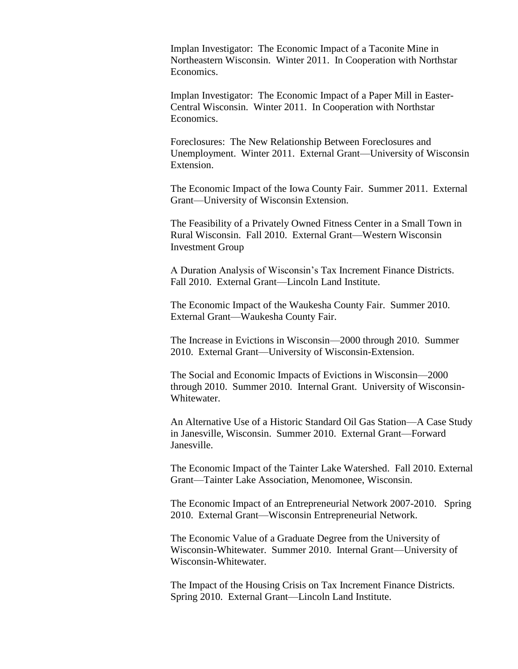Implan Investigator: The Economic Impact of a Taconite Mine in Northeastern Wisconsin. Winter 2011. In Cooperation with Northstar Economics.

Implan Investigator: The Economic Impact of a Paper Mill in Easter-Central Wisconsin. Winter 2011. In Cooperation with Northstar Economics.

Foreclosures: The New Relationship Between Foreclosures and Unemployment. Winter 2011. External Grant—University of Wisconsin Extension.

The Economic Impact of the Iowa County Fair. Summer 2011. External Grant—University of Wisconsin Extension.

The Feasibility of a Privately Owned Fitness Center in a Small Town in Rural Wisconsin. Fall 2010. External Grant—Western Wisconsin Investment Group

A Duration Analysis of Wisconsin's Tax Increment Finance Districts. Fall 2010. External Grant—Lincoln Land Institute.

The Economic Impact of the Waukesha County Fair. Summer 2010. External Grant—Waukesha County Fair.

The Increase in Evictions in Wisconsin—2000 through 2010. Summer 2010. External Grant—University of Wisconsin-Extension.

The Social and Economic Impacts of Evictions in Wisconsin—2000 through 2010. Summer 2010. Internal Grant. University of Wisconsin-Whitewater.

An Alternative Use of a Historic Standard Oil Gas Station—A Case Study in Janesville, Wisconsin. Summer 2010. External Grant—Forward Janesville.

The Economic Impact of the Tainter Lake Watershed. Fall 2010. External Grant—Tainter Lake Association, Menomonee, Wisconsin.

The Economic Impact of an Entrepreneurial Network 2007-2010. Spring 2010. External Grant—Wisconsin Entrepreneurial Network.

The Economic Value of a Graduate Degree from the University of Wisconsin-Whitewater. Summer 2010. Internal Grant—University of Wisconsin-Whitewater.

The Impact of the Housing Crisis on Tax Increment Finance Districts. Spring 2010. External Grant—Lincoln Land Institute.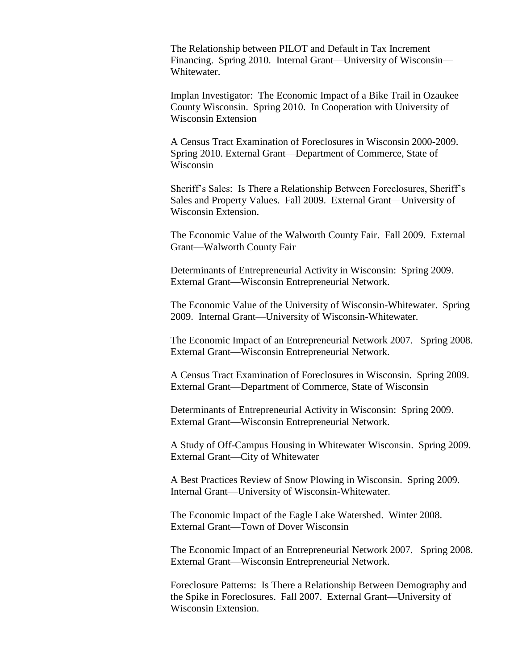The Relationship between PILOT and Default in Tax Increment Financing. Spring 2010. Internal Grant—University of Wisconsin— Whitewater.

Implan Investigator: The Economic Impact of a Bike Trail in Ozaukee County Wisconsin. Spring 2010. In Cooperation with University of Wisconsin Extension

A Census Tract Examination of Foreclosures in Wisconsin 2000-2009. Spring 2010. External Grant—Department of Commerce, State of Wisconsin

Sheriff's Sales: Is There a Relationship Between Foreclosures, Sheriff's Sales and Property Values. Fall 2009. External Grant—University of Wisconsin Extension.

The Economic Value of the Walworth County Fair. Fall 2009. External Grant—Walworth County Fair

Determinants of Entrepreneurial Activity in Wisconsin: Spring 2009. External Grant—Wisconsin Entrepreneurial Network.

The Economic Value of the University of Wisconsin-Whitewater. Spring 2009. Internal Grant—University of Wisconsin-Whitewater.

The Economic Impact of an Entrepreneurial Network 2007. Spring 2008. External Grant—Wisconsin Entrepreneurial Network.

A Census Tract Examination of Foreclosures in Wisconsin. Spring 2009. External Grant—Department of Commerce, State of Wisconsin

Determinants of Entrepreneurial Activity in Wisconsin: Spring 2009. External Grant—Wisconsin Entrepreneurial Network.

A Study of Off-Campus Housing in Whitewater Wisconsin. Spring 2009. External Grant—City of Whitewater

A Best Practices Review of Snow Plowing in Wisconsin. Spring 2009. Internal Grant—University of Wisconsin-Whitewater.

The Economic Impact of the Eagle Lake Watershed. Winter 2008. External Grant—Town of Dover Wisconsin

The Economic Impact of an Entrepreneurial Network 2007. Spring 2008. External Grant—Wisconsin Entrepreneurial Network.

Foreclosure Patterns: Is There a Relationship Between Demography and the Spike in Foreclosures. Fall 2007. External Grant—University of Wisconsin Extension.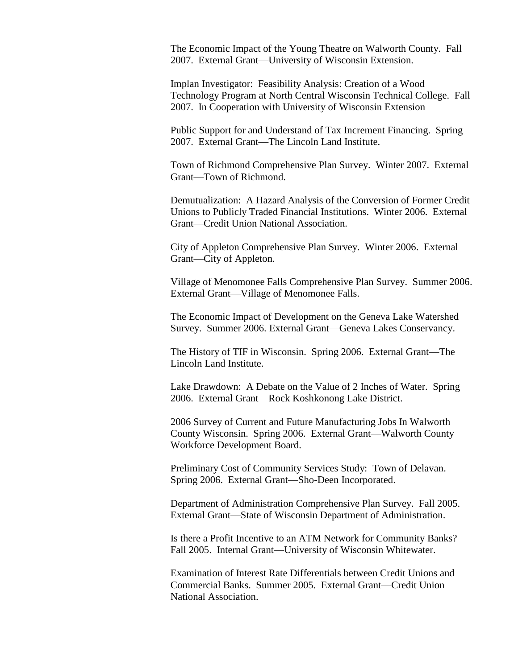The Economic Impact of the Young Theatre on Walworth County. Fall 2007. External Grant—University of Wisconsin Extension.

Implan Investigator: Feasibility Analysis: Creation of a Wood Technology Program at North Central Wisconsin Technical College. Fall 2007. In Cooperation with University of Wisconsin Extension

Public Support for and Understand of Tax Increment Financing. Spring 2007. External Grant—The Lincoln Land Institute.

Town of Richmond Comprehensive Plan Survey. Winter 2007. External Grant—Town of Richmond.

Demutualization: A Hazard Analysis of the Conversion of Former Credit Unions to Publicly Traded Financial Institutions. Winter 2006. External Grant—Credit Union National Association.

City of Appleton Comprehensive Plan Survey. Winter 2006. External Grant—City of Appleton.

Village of Menomonee Falls Comprehensive Plan Survey. Summer 2006. External Grant—Village of Menomonee Falls.

The Economic Impact of Development on the Geneva Lake Watershed Survey. Summer 2006. External Grant—Geneva Lakes Conservancy.

The History of TIF in Wisconsin. Spring 2006. External Grant—The Lincoln Land Institute.

Lake Drawdown: A Debate on the Value of 2 Inches of Water. Spring 2006. External Grant—Rock Koshkonong Lake District.

2006 Survey of Current and Future Manufacturing Jobs In Walworth County Wisconsin. Spring 2006. External Grant—Walworth County Workforce Development Board.

Preliminary Cost of Community Services Study: Town of Delavan. Spring 2006. External Grant—Sho-Deen Incorporated.

Department of Administration Comprehensive Plan Survey. Fall 2005. External Grant—State of Wisconsin Department of Administration.

Is there a Profit Incentive to an ATM Network for Community Banks? Fall 2005. Internal Grant—University of Wisconsin Whitewater.

Examination of Interest Rate Differentials between Credit Unions and Commercial Banks. Summer 2005. External Grant—Credit Union National Association.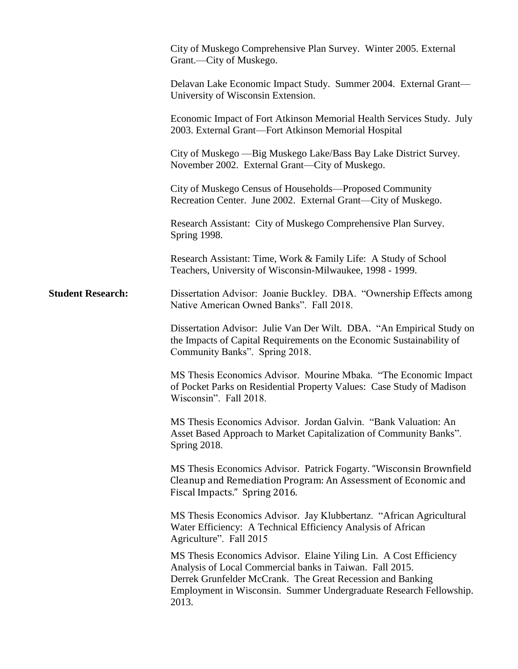|                          | City of Muskego Comprehensive Plan Survey. Winter 2005. External<br>Grant.—City of Muskego.                                                                                                                                                                                |
|--------------------------|----------------------------------------------------------------------------------------------------------------------------------------------------------------------------------------------------------------------------------------------------------------------------|
|                          | Delavan Lake Economic Impact Study. Summer 2004. External Grant-<br>University of Wisconsin Extension.                                                                                                                                                                     |
|                          | Economic Impact of Fort Atkinson Memorial Health Services Study. July<br>2003. External Grant-Fort Atkinson Memorial Hospital                                                                                                                                              |
|                          | City of Muskego — Big Muskego Lake/Bass Bay Lake District Survey.<br>November 2002. External Grant-City of Muskego.                                                                                                                                                        |
|                          | City of Muskego Census of Households—Proposed Community<br>Recreation Center. June 2002. External Grant—City of Muskego.                                                                                                                                                   |
|                          | Research Assistant: City of Muskego Comprehensive Plan Survey.<br>Spring 1998.                                                                                                                                                                                             |
|                          | Research Assistant: Time, Work & Family Life: A Study of School<br>Teachers, University of Wisconsin-Milwaukee, 1998 - 1999.                                                                                                                                               |
| <b>Student Research:</b> | Dissertation Advisor: Joanie Buckley. DBA. "Ownership Effects among<br>Native American Owned Banks". Fall 2018.                                                                                                                                                            |
|                          | Dissertation Advisor: Julie Van Der Wilt. DBA. "An Empirical Study on<br>the Impacts of Capital Requirements on the Economic Sustainability of<br>Community Banks". Spring 2018.                                                                                           |
|                          | MS Thesis Economics Advisor. Mourine Mbaka. "The Economic Impact<br>of Pocket Parks on Residential Property Values: Case Study of Madison<br>Wisconsin". Fall 2018.                                                                                                        |
|                          | MS Thesis Economics Advisor. Jordan Galvin. "Bank Valuation: An<br>Asset Based Approach to Market Capitalization of Community Banks".<br>Spring 2018.                                                                                                                      |
|                          | MS Thesis Economics Advisor. Patrick Fogarty. "Wisconsin Brownfield<br>Cleanup and Remediation Program: An Assessment of Economic and<br>Fiscal Impacts." Spring 2016.                                                                                                     |
|                          | MS Thesis Economics Advisor. Jay Klubbertanz. "African Agricultural<br>Water Efficiency: A Technical Efficiency Analysis of African<br>Agriculture". Fall 2015                                                                                                             |
|                          | MS Thesis Economics Advisor. Elaine Yiling Lin. A Cost Efficiency<br>Analysis of Local Commercial banks in Taiwan. Fall 2015.<br>Derrek Grunfelder McCrank. The Great Recession and Banking<br>Employment in Wisconsin. Summer Undergraduate Research Fellowship.<br>2013. |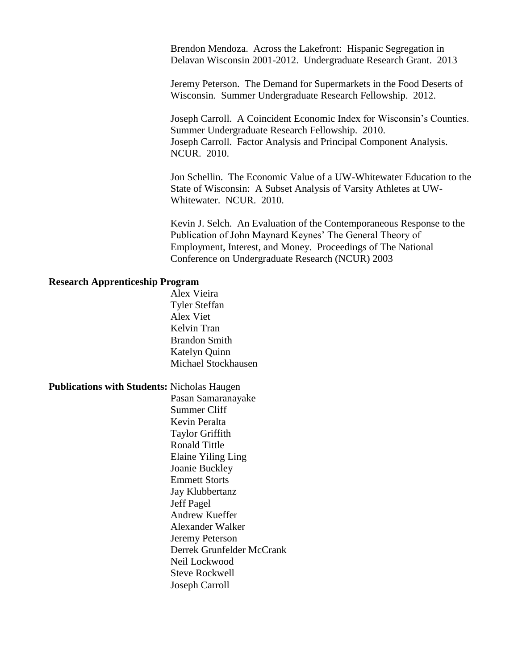Brendon Mendoza. Across the Lakefront: Hispanic Segregation in Delavan Wisconsin 2001-2012. Undergraduate Research Grant. 2013

Jeremy Peterson. The Demand for Supermarkets in the Food Deserts of Wisconsin. Summer Undergraduate Research Fellowship. 2012.

Joseph Carroll. A Coincident Economic Index for Wisconsin's Counties. Summer Undergraduate Research Fellowship. 2010. Joseph Carroll. Factor Analysis and Principal Component Analysis. NCUR. 2010.

Jon Schellin. The Economic Value of a UW-Whitewater Education to the State of Wisconsin: A Subset Analysis of Varsity Athletes at UW-Whitewater. NCUR. 2010.

Kevin J. Selch. An Evaluation of the Contemporaneous Response to the Publication of John Maynard Keynes' The General Theory of Employment, Interest, and Money. Proceedings of The National Conference on Undergraduate Research (NCUR) 2003

## **Research Apprenticeship Program**

Alex Vieira Tyler Steffan Alex Viet Kelvin Tran Brandon Smith Katelyn Quinn Michael Stockhausen

**Publications with Students:** Nicholas Haugen

Pasan Samaranayake Summer Cliff Kevin Peralta Taylor Griffith Ronald Tittle Elaine Yiling Ling Joanie Buckley Emmett Storts Jay Klubbertanz Jeff Pagel Andrew Kueffer Alexander Walker Jeremy Peterson Derrek Grunfelder McCrank Neil Lockwood Steve Rockwell Joseph Carroll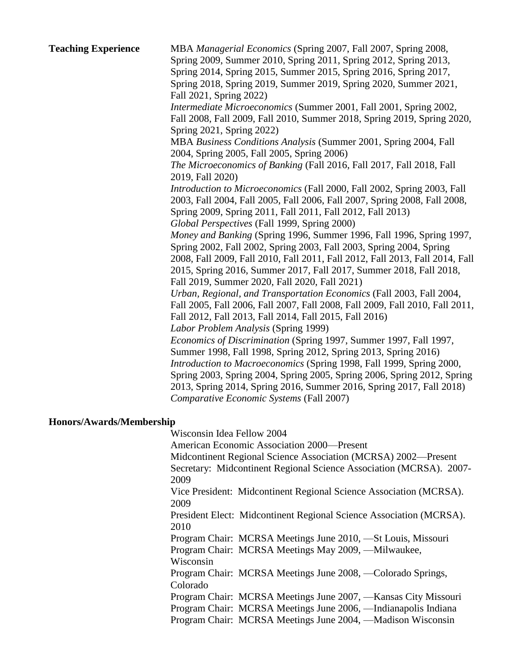| <b>Teaching Experience</b> | MBA Managerial Economics (Spring 2007, Fall 2007, Spring 2008,<br>Spring 2009, Summer 2010, Spring 2011, Spring 2012, Spring 2013,<br>Spring 2014, Spring 2015, Summer 2015, Spring 2016, Spring 2017,<br>Spring 2018, Spring 2019, Summer 2019, Spring 2020, Summer 2021,<br>Fall 2021, Spring 2022)<br>Intermediate Microeconomics (Summer 2001, Fall 2001, Spring 2002,<br>Fall 2008, Fall 2009, Fall 2010, Summer 2018, Spring 2019, Spring 2020,<br>Spring 2021, Spring 2022)<br>MBA Business Conditions Analysis (Summer 2001, Spring 2004, Fall<br>2004, Spring 2005, Fall 2005, Spring 2006)<br>The Microeconomics of Banking (Fall 2016, Fall 2017, Fall 2018, Fall<br>2019, Fall 2020)<br>Introduction to Microeconomics (Fall 2000, Fall 2002, Spring 2003, Fall<br>2003, Fall 2004, Fall 2005, Fall 2006, Fall 2007, Spring 2008, Fall 2008,<br>Spring 2009, Spring 2011, Fall 2011, Fall 2012, Fall 2013)<br>Global Perspectives (Fall 1999, Spring 2000)<br>Money and Banking (Spring 1996, Summer 1996, Fall 1996, Spring 1997,<br>Spring 2002, Fall 2002, Spring 2003, Fall 2003, Spring 2004, Spring<br>2008, Fall 2009, Fall 2010, Fall 2011, Fall 2012, Fall 2013, Fall 2014, Fall<br>2015, Spring 2016, Summer 2017, Fall 2017, Summer 2018, Fall 2018,<br>Fall 2019, Summer 2020, Fall 2020, Fall 2021)<br>Urban, Regional, and Transportation Economics (Fall 2003, Fall 2004,<br>Fall 2005, Fall 2006, Fall 2007, Fall 2008, Fall 2009, Fall 2010, Fall 2011,<br>Fall 2012, Fall 2013, Fall 2014, Fall 2015, Fall 2016)<br>Labor Problem Analysis (Spring 1999)<br>Economics of Discrimination (Spring 1997, Summer 1997, Fall 1997,<br>Summer 1998, Fall 1998, Spring 2012, Spring 2013, Spring 2016)<br>Introduction to Macroeconomics (Spring 1998, Fall 1999, Spring 2000,<br>Spring 2003, Spring 2004, Spring 2005, Spring 2006, Spring 2012, Spring |
|----------------------------|----------------------------------------------------------------------------------------------------------------------------------------------------------------------------------------------------------------------------------------------------------------------------------------------------------------------------------------------------------------------------------------------------------------------------------------------------------------------------------------------------------------------------------------------------------------------------------------------------------------------------------------------------------------------------------------------------------------------------------------------------------------------------------------------------------------------------------------------------------------------------------------------------------------------------------------------------------------------------------------------------------------------------------------------------------------------------------------------------------------------------------------------------------------------------------------------------------------------------------------------------------------------------------------------------------------------------------------------------------------------------------------------------------------------------------------------------------------------------------------------------------------------------------------------------------------------------------------------------------------------------------------------------------------------------------------------------------------------------------------------------------------------------------------------------------------------------------------------------------------------------------|
|                            | 2013, Spring 2014, Spring 2016, Summer 2016, Spring 2017, Fall 2018)<br>Comparative Economic Systems (Fall 2007)                                                                                                                                                                                                                                                                                                                                                                                                                                                                                                                                                                                                                                                                                                                                                                                                                                                                                                                                                                                                                                                                                                                                                                                                                                                                                                                                                                                                                                                                                                                                                                                                                                                                                                                                                                 |
| Honors/Awards/Membership   |                                                                                                                                                                                                                                                                                                                                                                                                                                                                                                                                                                                                                                                                                                                                                                                                                                                                                                                                                                                                                                                                                                                                                                                                                                                                                                                                                                                                                                                                                                                                                                                                                                                                                                                                                                                                                                                                                  |
|                            | Wisconsin Idea Fellow 2004                                                                                                                                                                                                                                                                                                                                                                                                                                                                                                                                                                                                                                                                                                                                                                                                                                                                                                                                                                                                                                                                                                                                                                                                                                                                                                                                                                                                                                                                                                                                                                                                                                                                                                                                                                                                                                                       |
|                            | American Economic Association 2000—Present<br>Midcontinent Regional Science Association (MCRSA) 2002-Present                                                                                                                                                                                                                                                                                                                                                                                                                                                                                                                                                                                                                                                                                                                                                                                                                                                                                                                                                                                                                                                                                                                                                                                                                                                                                                                                                                                                                                                                                                                                                                                                                                                                                                                                                                     |

Secretary: Midcontinent Regional Science Association (MCRSA). 2007- 2009

Vice President: Midcontinent Regional Science Association (MCRSA). 2009

President Elect: Midcontinent Regional Science Association (MCRSA). 2010

Program Chair: MCRSA Meetings June 2010, —St Louis, Missouri Program Chair: MCRSA Meetings May 2009, —Milwaukee,

Wisconsin Program Chair: MCRSA Meetings June 2008, —Colorado Springs,

Colorado Program Chair: MCRSA Meetings June 2007, —Kansas City Missouri

Program Chair: MCRSA Meetings June 2006, —Indianapolis Indiana Program Chair: MCRSA Meetings June 2004, —Madison Wisconsin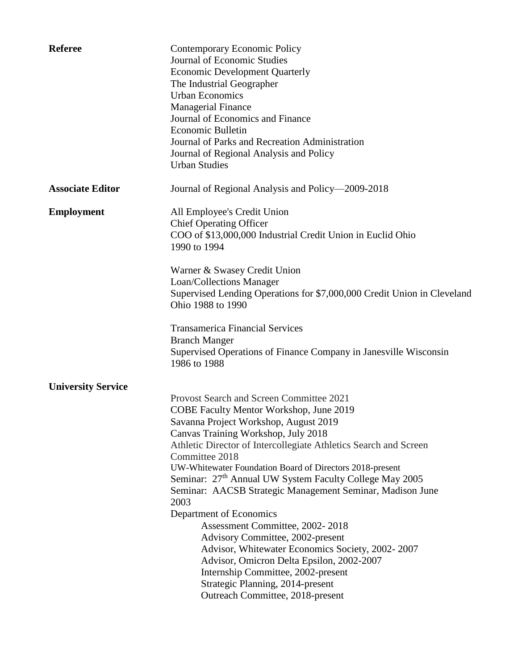| <b>Referee</b>            | Contemporary Economic Policy<br><b>Journal of Economic Studies</b><br><b>Economic Development Quarterly</b><br>The Industrial Geographer<br><b>Urban Economics</b><br><b>Managerial Finance</b><br>Journal of Economics and Finance<br><b>Economic Bulletin</b><br>Journal of Parks and Recreation Administration<br>Journal of Regional Analysis and Policy<br><b>Urban Studies</b>                                                                                                                                                                                                                                                                                                                                                                                               |
|---------------------------|------------------------------------------------------------------------------------------------------------------------------------------------------------------------------------------------------------------------------------------------------------------------------------------------------------------------------------------------------------------------------------------------------------------------------------------------------------------------------------------------------------------------------------------------------------------------------------------------------------------------------------------------------------------------------------------------------------------------------------------------------------------------------------|
| <b>Associate Editor</b>   | Journal of Regional Analysis and Policy—2009-2018                                                                                                                                                                                                                                                                                                                                                                                                                                                                                                                                                                                                                                                                                                                                  |
| <b>Employment</b>         | All Employee's Credit Union<br><b>Chief Operating Officer</b><br>COO of \$13,000,000 Industrial Credit Union in Euclid Ohio<br>1990 to 1994                                                                                                                                                                                                                                                                                                                                                                                                                                                                                                                                                                                                                                        |
|                           | Warner & Swasey Credit Union<br>Loan/Collections Manager<br>Supervised Lending Operations for \$7,000,000 Credit Union in Cleveland<br>Ohio 1988 to 1990                                                                                                                                                                                                                                                                                                                                                                                                                                                                                                                                                                                                                           |
|                           | <b>Transamerica Financial Services</b><br><b>Branch Manger</b><br>Supervised Operations of Finance Company in Janesville Wisconsin<br>1986 to 1988                                                                                                                                                                                                                                                                                                                                                                                                                                                                                                                                                                                                                                 |
| <b>University Service</b> | Provost Search and Screen Committee 2021<br>COBE Faculty Mentor Workshop, June 2019<br>Savanna Project Workshop, August 2019<br>Canvas Training Workshop, July 2018<br>Athletic Director of Intercollegiate Athletics Search and Screen<br>Committee 2018<br>UW-Whitewater Foundation Board of Directors 2018-present<br>Seminar: 27 <sup>th</sup> Annual UW System Faculty College May 2005<br>Seminar: AACSB Strategic Management Seminar, Madison June<br>2003<br>Department of Economics<br>Assessment Committee, 2002-2018<br>Advisory Committee, 2002-present<br>Advisor, Whitewater Economics Society, 2002-2007<br>Advisor, Omicron Delta Epsilon, 2002-2007<br>Internship Committee, 2002-present<br>Strategic Planning, 2014-present<br>Outreach Committee, 2018-present |